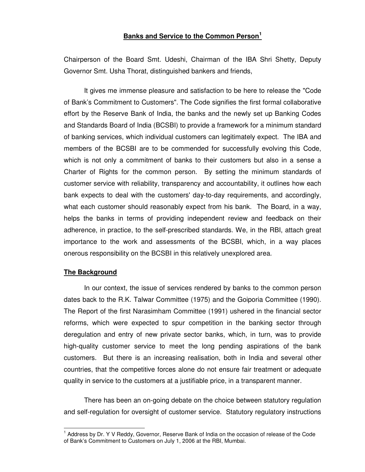# **Banks and Service to the Common Person 1**

Chairperson of the Board Smt. Udeshi, Chairman of the IBA Shri Shetty, Deputy Governor Smt. Usha Thorat, distinguished bankers and friends,

It gives me immense pleasure and satisfaction to be here to release the "Code of Bank's Commitment to Customers". The Code signifies the first formal collaborative effort by the Reserve Bank of India, the banks and the newly set up Banking Codes and Standards Board of India (BCSBI) to provide a framework for a minimum standard of banking services, which individual customers can legitimately expect. The IBA and members of the BCSBI are to be commended for successfully evolving this Code, which is not only a commitment of banks to their customers but also in a sense a Charter of Rights for the common person. By setting the minimum standards of customer service with reliability, transparency and accountability, it outlines how each bank expects to deal with the customers'day-to-day requirements, and accordingly, what each customer should reasonably expect from his bank. The Board, in a way, helps the banks in terms of providing independent review and feedback on their adherence, in practice, to the self-prescribed standards. We, in the RBI, attach great importance to the work and assessments of the BCSBI, which, in a way places onerous responsibility on the BCSBI in this relatively unexplored area.

## **The Background**

In our context, the issue of services rendered by banks to the common person dates back to the R.K. Talwar Committee (1975) and the Goiporia Committee (1990). The Report of the first Narasimham Committee (1991) ushered in the financial sector reforms, which were expected to spur competition in the banking sector through deregulation and entry of new private sector banks, which, in turn, was to provide high-quality customer service to meet the long pending aspirations of the bank customers. But there is an increasing realisation, both in India and several other countries, that the competitive forces alone do not ensure fair treatment or adequate quality in service to the customers at a justifiable price, in a transparent manner.

There has been an on-going debate on the choice between statutory regulation and self-regulation for oversight of customer service. Statutory regulatory instructions

<sup>&</sup>lt;sup>1</sup> Address by Dr. Y V Reddy, Governor, Reserve Bank of India on the occasion of release of the Code of Bank's Commitment to Customers on July 1, 2006 at the RBI, Mumbai.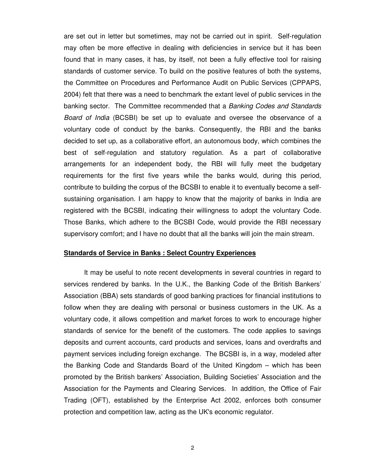are set out in letter but sometimes, may not be carried out in spirit. Self-regulation may often be more effective in dealing with deficiencies in service but it has been found that in many cases, it has, by itself, not been a fully effective tool for raising standards of customer service. To build on the positive features of both the systems, the Committee on Procedures and Performance Audit on Public Services (CPPAPS, 2004) felt that there was a need to benchmark the extant level of public services in the banking sector. The Committee recommended that a *Banking Codes and Standards Board of India* (BCSBI) be set up to evaluate and oversee the observance of a voluntary code of conduct by the banks. Consequently, the RBI and the banks decided to set up, as a collaborative effort, an autonomous body, which combines the best of self-regulation and statutory regulation. As a part of collaborative arrangements for an independent body, the RBI will fully meet the budgetary requirements for the first five years while the banks would, during this period, contribute to building the corpus of the BCSBI to enable it to eventually become a selfsustaining organisation. I am happy to know that the majority of banks in India are registered with the BCSBI, indicating their willingness to adopt the voluntary Code. Those Banks, which adhere to the BCSBI Code, would provide the RBI necessary supervisory comfort; and I have no doubt that all the banks will join the main stream.

## **Standards of Service in Banks : Select Country Experiences**

It may be useful to note recent developments in several countries in regard to services rendered by banks. In the U.K., the Banking Code of the British Bankers' Association (BBA) sets standards of good banking practices for financial institutions to follow when they are dealing with personal or business customers in the UK. As a voluntary code, it allows competition and market forces to work to encourage higher standards of service for the benefit of the customers. The code applies to savings deposits and current accounts, card products and services, loans and overdrafts and payment services including foreign exchange. The BCSBI is, in a way, modeled after the Banking Code and Standards Board of the United Kingdom – which has been promoted by the British bankers' Association, Building Societies' Association and the Association for the Payments and Clearing Services. In addition, the Office of Fair Trading (OFT), established by the Enterprise Act 2002, enforces both consumer protection and competition law, acting as the UK's economic regulator.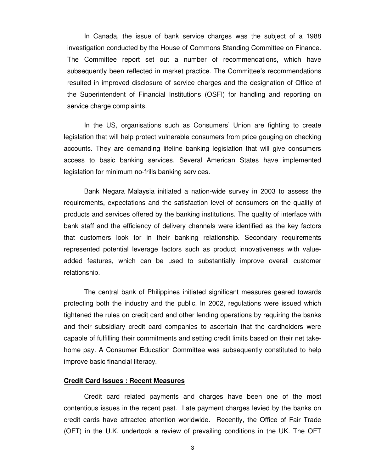In Canada, the issue of bank service charges was the subject of a 1988 investigation conducted by the House of Commons Standing Committee on Finance. The Committee report set out a number of recommendations, which have subsequently been reflected in market practice. The Committee's recommendations resulted in improved disclosure of service charges and the designation of Office of the Superintendent of Financial Institutions (OSFI) for handling and reporting on service charge complaints.

In the US, organisations such as Consumers' Union are fighting to create legislation that will help protect vulnerable consumers from price gouging on checking accounts. They are demanding lifeline banking legislation that will give consumers access to basic banking services. Several American States have implemented legislation for minimum no-frills banking services.

Bank Negara Malaysia initiated a nation-wide survey in 2003 to assess the requirements, expectations and the satisfaction level of consumers on the quality of products and services offered by the banking institutions. The quality of interface with bank staff and the efficiency of delivery channels were identified as the key factors that customers look for in their banking relationship. Secondary requirements represented potential leverage factors such as product innovativeness with valueadded features, which can be used to substantially improve overall customer relationship.

The central bank of Philippines initiated significant measures geared towards protecting both the industry and the public. In 2002, regulations were issued which tightened the rules on credit card and other lending operations by requiring the banks and their subsidiary credit card companies to ascertain that the cardholders were capable of fulfilling their commitments and setting credit limits based on their net takehome pay. A Consumer Education Committee was subsequently constituted to help improve basic financial literacy.

#### **Credit Card Issues : Recent Measures**

Credit card related payments and charges have been one of the most contentious issues in the recent past. Late payment charges levied by the banks on credit cards have attracted attention worldwide. Recently, the Office of Fair Trade (OFT) in the U.K. undertook a review of prevailing conditions in the UK. The OFT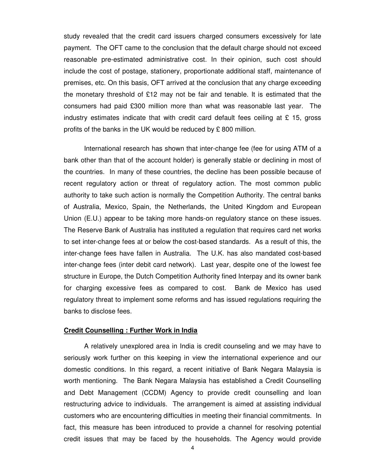study revealed that the credit card issuers charged consumers excessively for late payment. The OFT came to the conclusion that the default charge should not exceed reasonable pre-estimated administrative cost. In their opinion, such cost should include the cost of postage, stationery, proportionate additional staff, maintenance of premises, etc. On this basis, OFT arrived at the conclusion that any charge exceeding the monetary threshold of £12 may not be fair and tenable. It is estimated that the consumers had paid £300 million more than what was reasonable last year. The industry estimates indicate that with credit card default fees ceiling at  $\epsilon$  15, gross profits of the banks in the UK would be reduced by £ 800 million.

International research has shown that inter-change fee (fee for using ATM of a bank other than that of the account holder) is generally stable or declining in most of the countries. In many of these countries, the decline has been possible because of recent regulatory action or threat of regulatory action. The most common public authority to take such action is normally the Competition Authority. The central banks of Australia, Mexico, Spain, the Netherlands, the United Kingdom and European Union (E.U.) appear to be taking more hands-on regulatory stance on these issues. The Reserve Bank of Australia has instituted a regulation that requires card net works to set inter-change fees at or below the cost-based standards. As a result of this, the inter-change fees have fallen in Australia. The U.K. has also mandated cost-based inter-change fees (inter debit card network). Last year, despite one of the lowest fee structure in Europe, the Dutch Competition Authority fined Interpay and its owner bank for charging excessive fees as compared to cost. Bank de Mexico has used regulatory threat to implement some reforms and has issued regulations requiring the banks to disclose fees.

#### **Credit Counselling : Further Work in India**

A relatively unexplored area in India is credit counseling and we may have to seriously work further on this keeping in view the international experience and our domestic conditions. In this regard, a recent initiative of Bank Negara Malaysia is worth mentioning. The Bank Negara Malaysia has established a Credit Counselling and Debt Management (CCDM) Agency to provide credit counselling and loan restructuring advice to individuals. The arrangement is aimed at assisting individual customers who are encountering difficulties in meeting their financial commitments. In fact, this measure has been introduced to provide a channel for resolving potential credit issues that may be faced by the households. The Agency would provide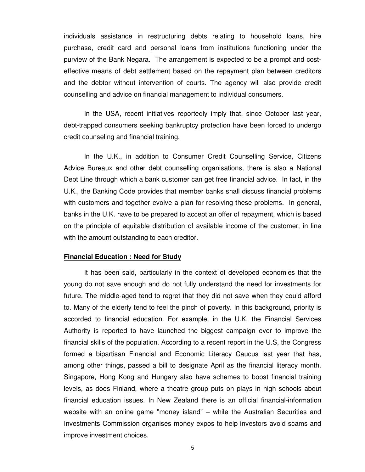individuals assistance in restructuring debts relating to household loans, hire purchase, credit card and personal loans from institutions functioning under the purview of the Bank Negara. The arrangement is expected to be a prompt and costeffective means of debt settlement based on the repayment plan between creditors and the debtor without intervention of courts. The agency will also provide credit counselling and advice on financial management to individual consumers.

In the USA, recent initiatives reportedly imply that, since October last year, debt-trapped consumers seeking bankruptcy protection have been forced to undergo credit counseling and financial training.

In the U.K., in addition to Consumer Credit Counselling Service, Citizens Advice Bureaux and other debt counselling organisations, there is also a National Debt Line through which a bank customer can get free financial advice. In fact, in the U.K., the Banking Code provides that member banks shall discuss financial problems with customers and together evolve a plan for resolving these problems. In general, banks in the U.K. have to be prepared to accept an offer of repayment, which is based on the principle of equitable distribution of available income of the customer, in line with the amount outstanding to each creditor.

### **Financial Education : Need for Study**

It has been said, particularly in the context of developed economies that the young do not save enough and do not fully understand the need for investments for future. The middle-aged tend to regret that they did not save when they could afford to. Many of the elderly tend to feel the pinch of poverty. In this background, priority is accorded to financial education. For example, in the U.K, the Financial Services Authority is reported to have launched the biggest campaign ever to improve the financial skills of the population. According to a recent report in the U.S, the Congress formed a bipartisan Financial and Economic Literacy Caucus last year that has, among other things, passed a bill to designate April as the financial literacy month. Singapore, Hong Kong and Hungary also have schemes to boost financial training levels, as does Finland, where a theatre group puts on plays in high schools about financial education issues. In New Zealand there is an official financial-information website with an online game "money island" – while the Australian Securities and Investments Commission organises money expos to help investors avoid scams and improve investment choices.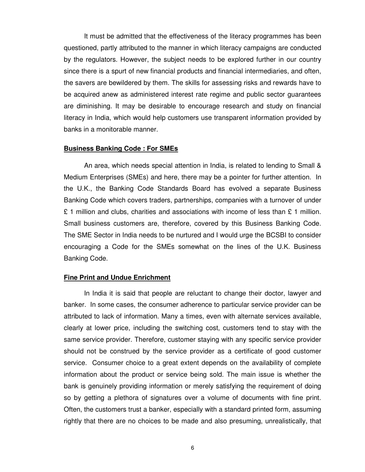It must be admitted that the effectiveness of the literacy programmes has been questioned, partly attributed to the manner in which literacy campaigns are conducted by the regulators. However, the subject needs to be explored further in our country since there is a spurt of new financial products and financial intermediaries, and often, the savers are bewildered by them. The skills for assessing risks and rewards have to be acquired anew as administered interest rate regime and public sector guarantees are diminishing. It may be desirable to encourage research and study on financial literacy in India, which would help customers use transparent information provided by banks in a monitorable manner.

### **Business Banking Code : For SMEs**

An area, which needs special attention in India, is related to lending to Small & Medium Enterprises (SMEs) and here, there may be a pointer for further attention. In the U.K., the Banking Code Standards Board has evolved a separate Business Banking Code which covers traders, partnerships, companies with a turnover of under £ 1 million and clubs, charities and associations with income of less than £ 1 million. Small business customers are, therefore, covered by this Business Banking Code. The SME Sector in India needs to be nurtured and I would urge the BCSBI to consider encouraging a Code for the SMEs somewhat on the lines of the U.K. Business Banking Code.

#### **Fine Print and Undue Enrichment**

In India it is said that people are reluctant to change their doctor, lawyer and banker. In some cases, the consumer adherence to particular service provider can be attributed to lack of information. Many a times, even with alternate services available, clearly at lower price, including the switching cost, customers tend to stay with the same service provider. Therefore, customer staying with any specific service provider should not be construed by the service provider as a certificate of good customer service. Consumer choice to a great extent depends on the availability of complete information about the product or service being sold. The main issue is whether the bank is genuinely providing information or merely satisfying the requirement of doing so by getting a plethora of signatures over a volume of documents with fine print. Often, the customers trust a banker, especially with a standard printed form, assuming rightly that there are no choices to be made and also presuming, unrealistically, that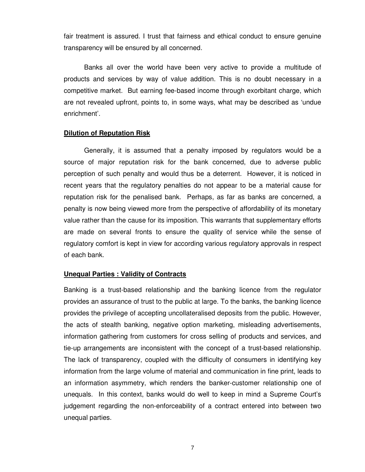fair treatment is assured. I trust that fairness and ethical conduct to ensure genuine transparency will be ensured by all concerned.

Banks all over the world have been very active to provide a multitude of products and services by way of value addition. This is no doubt necessary in a competitive market. But earning fee-based income through exorbitant charge, which are not revealed upfront, points to, in some ways, what may be described as 'undue enrichment'.

### **Dilution of Reputation Risk**

Generally, it is assumed that a penalty imposed by regulators would be a source of major reputation risk for the bank concerned, due to adverse public perception of such penalty and would thus be a deterrent. However, it is noticed in recent years that the regulatory penalties do not appear to be a material cause for reputation risk for the penalised bank. Perhaps, as far as banks are concerned, a penalty is now being viewed more from the perspective of affordability of its monetary value rather than the cause for its imposition. This warrants that supplementary efforts are made on several fronts to ensure the quality of service while the sense of regulatory comfort is kept in view for according various regulatory approvals in respect of each bank.

#### **Unequal Parties : Validity of Contracts**

Banking is a trust-based relationship and the banking licence from the regulator provides an assurance of trust to the public at large. To the banks, the banking licence provides the privilege of accepting uncollateralised deposits from the public. However, the acts of stealth banking, negative option marketing, misleading advertisements, information gathering from customers for cross selling of products and services, and tie-up arrangements are inconsistent with the concept of a trust-based relationship. The lack of transparency, coupled with the difficulty of consumers in identifying key information from the large volume of material and communication in fine print, leads to an information asymmetry, which renders the banker-customer relationship one of unequals. In this context, banks would do well to keep in mind a Supreme Court's judgement regarding the non-enforceability of a contract entered into between two unequal parties.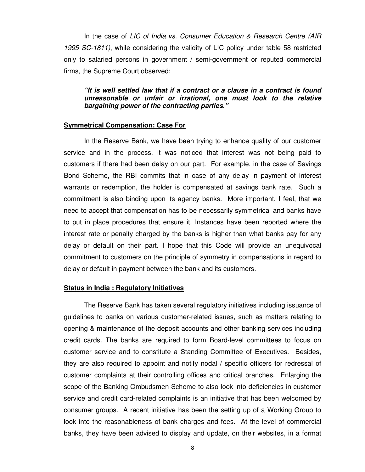In the case of *LIC of India vs. Consumer Education & Research Centre (AIR 1995 SC-1811)*, while considering the validity of LIC policy under table 58 restricted only to salaried persons in government / semi-government or reputed commercial firms, the Supreme Court observed:

## *"It is well settled law that if a contract or a clause in a contract is found unreasonable or unfair or irrational, one must look to the relative bargaining power of the contracting parties."*

### **Symmetrical Compensation: Case For**

In the Reserve Bank, we have been trying to enhance quality of our customer service and in the process, it was noticed that interest was not being paid to customers if there had been delay on our part. For example, in the case of Savings Bond Scheme, the RBI commits that in case of any delay in payment of interest warrants or redemption, the holder is compensated at savings bank rate. Such a commitment is also binding upon its agency banks. More important, I feel, that we need to accept that compensation has to be necessarily symmetrical and banks have to put in place procedures that ensure it. Instances have been reported where the interest rate or penalty charged by the banks is higher than what banks pay for any delay or default on their part. I hope that this Code will provide an unequivocal commitment to customers on the principle of symmetry in compensations in regard to delay or default in payment between the bank and its customers.

#### **Status in India : Regulatory Initiatives**

The Reserve Bank has taken several regulatory initiatives including issuance of guidelines to banks on various customer-related issues, such as matters relating to opening & maintenance of the deposit accounts and other banking services including credit cards. The banks are required to form Board-level committees to focus on customer service and to constitute a Standing Committee of Executives. Besides, they are also required to appoint and notify nodal / specific officers for redressal of customer complaints at their controlling offices and critical branches. Enlarging the scope of the Banking Ombudsmen Scheme to also look into deficiencies in customer service and credit card-related complaints is an initiative that has been welcomed by consumer groups. A recent initiative has been the setting up of a Working Group to look into the reasonableness of bank charges and fees. At the level of commercial banks, they have been advised to display and update, on their websites, in a format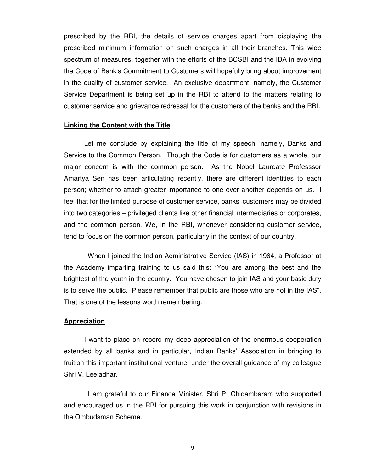prescribed by the RBI, the details of service charges apart from displaying the prescribed minimum information on such charges in all their branches. This wide spectrum of measures, together with the efforts of the BCSBI and the IBA in evolving the Code of Bank's Commitment to Customers will hopefully bring about improvement in the quality of customer service. An exclusive department, namely, the Customer Service Department is being set up in the RBI to attend to the matters relating to customer service and grievance redressal for the customers of the banks and the RBI.

### **Linking the Content with the Title**

Let me conclude by explaining the title of my speech, namely, Banks and Service to the Common Person. Though the Code is for customers as a whole, our major concern is with the common person. As the Nobel Laureate Professsor Amartya Sen has been articulating recently, there are different identities to each person; whether to attach greater importance to one over another depends on us. I feel that for the limited purpose of customer service, banks' customers may be divided into two categories – privileged clients like other financial intermediaries or corporates, and the common person. We, in the RBI, whenever considering customer service, tend to focus on the common person, particularly in the context of our country.

When I joined the Indian Administrative Service (IAS) in 1964, a Professor at the Academy imparting training to us said this: "You are among the best and the brightest of the youth in the country. You have chosen to join IAS and your basic duty is to serve the public. Please remember that public are those who are not in the IAS". That is one of the lessons worth remembering.

### **Appreciation**

I want to place on record my deep appreciation of the enormous cooperation extended by all banks and in particular, Indian Banks' Association in bringing to fruition this important institutional venture, under the overall guidance of my colleague Shri V. Leeladhar.

I am grateful to our Finance Minister, Shri P. Chidambaram who supported and encouraged us in the RBI for pursuing this work in conjunction with revisions in the Ombudsman Scheme.

9